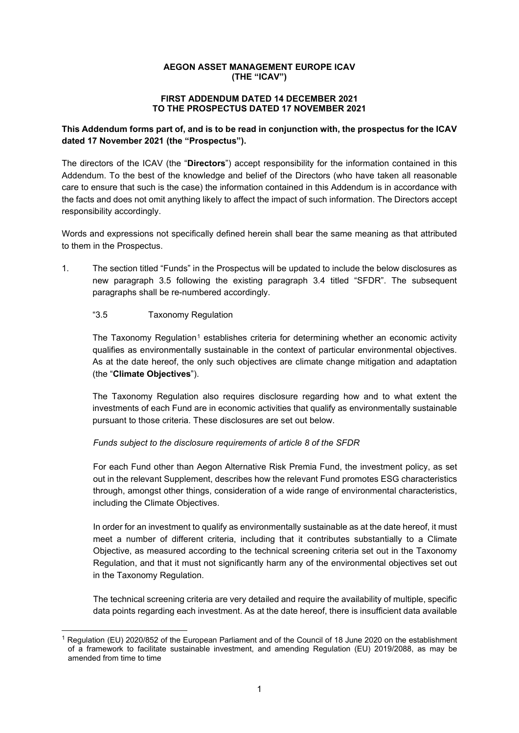## **AEGON ASSET MANAGEMENT EUROPE ICAV (THE "ICAV")**

#### **FIRST ADDENDUM DATED 14 DECEMBER 2021 TO THE PROSPECTUS DATED 17 NOVEMBER 2021**

# **This Addendum forms part of, and is to be read in conjunction with, the prospectus for the ICAV dated 17 November 2021 (the "Prospectus").**

The directors of the ICAV (the "**Directors**") accept responsibility for the information contained in this Addendum. To the best of the knowledge and belief of the Directors (who have taken all reasonable care to ensure that such is the case) the information contained in this Addendum is in accordance with the facts and does not omit anything likely to affect the impact of such information. The Directors accept responsibility accordingly.

Words and expressions not specifically defined herein shall bear the same meaning as that attributed to them in the Prospectus.

1. The section titled "Funds" in the Prospectus will be updated to include the below disclosures as new paragraph 3.5 following the existing paragraph 3.4 titled "SFDR". The subsequent paragraphs shall be re-numbered accordingly.

# "3.5 Taxonomy Regulation

The Taxonomy Regulation<sup>[1](#page-0-0)</sup> establishes criteria for determining whether an economic activity qualifies as environmentally sustainable in the context of particular environmental objectives. As at the date hereof, the only such objectives are climate change mitigation and adaptation (the "**Climate Objectives**").

The Taxonomy Regulation also requires disclosure regarding how and to what extent the investments of each Fund are in economic activities that qualify as environmentally sustainable pursuant to those criteria. These disclosures are set out below.

## *Funds subject to the disclosure requirements of article 8 of the SFDR*

For each Fund other than Aegon Alternative Risk Premia Fund, the investment policy, as set out in the relevant Supplement, describes how the relevant Fund promotes ESG characteristics through, amongst other things, consideration of a wide range of environmental characteristics, including the Climate Objectives.

In order for an investment to qualify as environmentally sustainable as at the date hereof, it must meet a number of different criteria, including that it contributes substantially to a Climate Objective, as measured according to the technical screening criteria set out in the Taxonomy Regulation, and that it must not significantly harm any of the environmental objectives set out in the Taxonomy Regulation.

The technical screening criteria are very detailed and require the availability of multiple, specific data points regarding each investment. As at the date hereof, there is insufficient data available

<span id="page-0-0"></span><sup>1</sup> Regulation (EU) 2020/852 of the European Parliament and of the Council of 18 June 2020 on the establishment of a framework to facilitate sustainable investment, and amending Regulation (EU) 2019/2088, as may be amended from time to time